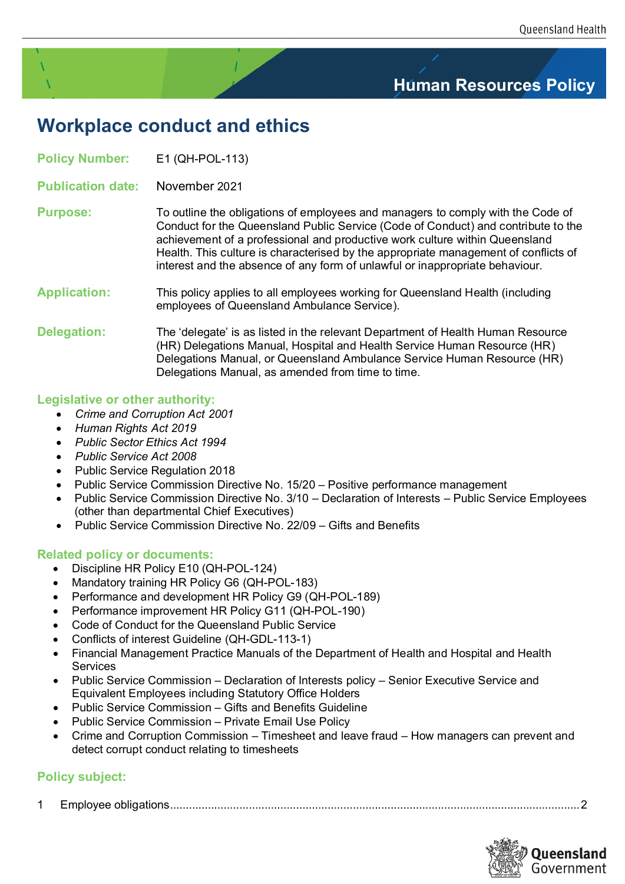## **Human Resources Policy**

# **Workplace conduct and ethics**

**Policy Number:** E1 (QH-POL-113)

**Publication date:** November 2021

#### **Purpose:** To outline the obligations of employees and managers to comply with the Code of Conduct for the Queensland Public Service (Code of Conduct) and contribute to the achievement of a professional and productive work culture within Queensland Health. This culture is characterised by the appropriate management of conflicts of interest and the absence of any form of unlawful or inappropriate behaviour.

#### **Application:** This policy applies to all employees working for Queensland Health (including employees of Queensland Ambulance Service).

**Delegation:** The 'delegate' is as listed in the relevant Department of Health Human Resource (HR) Delegations Manual, Hospital and Health Service Human Resource (HR) Delegations Manual, or Queensland Ambulance Service Human Resource (HR) Delegations Manual, as amended from time to time.

## **Legislative or other authority:**

- *Crime and Corruption Act 2001*
- *Human Rights Act 2019*
- *Public Sector Ethics Act 1994*
- *Public Service Act 2008*
- Public Service Regulation 2018
- Public Service Commission Directive No. 15/20 Positive performance management
- Public Service Commission Directive No. 3/10 Declaration of Interests Public Service Employees (other than departmental Chief Executives)
- Public Service Commission Directive No. 22/09 Gifts and Benefits

## **Related policy or documents:**

- Discipline HR Policy E10 (QH-POL-124)
- Mandatory training HR Policy G6 (QH-POL-183)
- Performance and development HR Policy G9 (QH-POL-189)
- Performance improvement HR Policy G11 (QH-POL-190)
- Code of Conduct for the Queensland Public Service
- Conflicts of interest Guideline (QH-GDL-113-1)
- Financial Management Practice Manuals of the Department of Health and Hospital and Health Services
- Public Service Commission Declaration of Interests policy Senior Executive Service and Equivalent Employees including Statutory Office Holders
- Public Service Commission Gifts and Benefits Guideline
- Public Service Commission Private Email Use Policy
- Crime and Corruption Commission Timesheet and leave fraud How managers can prevent and detect corrupt conduct relating to timesheets

## **Policy subject:**

1 [Employee obligations..................................................................................................................................2](#page-1-0)

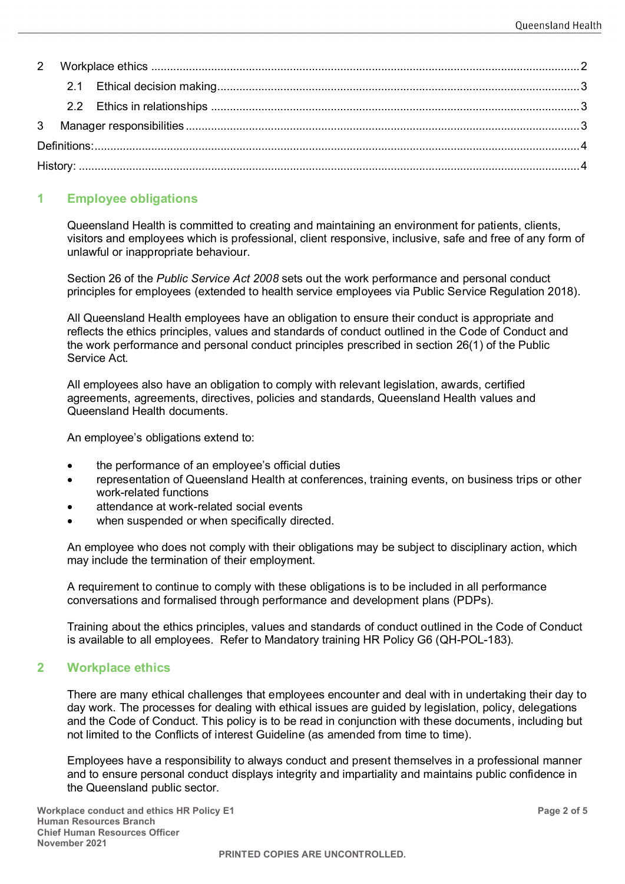## <span id="page-1-0"></span>**1 Employee obligations**

Queensland Health is committed to creating and maintaining an environment for patients, clients, visitors and employees which is professional, client responsive, inclusive, safe and free of any form of unlawful or inappropriate behaviour.

Section 26 of the *Public Service Act 2008* sets out the work performance and personal conduct principles for employees (extended to health service employees via Public Service Regulation 2018).

All Queensland Health employees have an obligation to ensure their conduct is appropriate and reflects the ethics principles, values and standards of conduct outlined in the Code of Conduct and the work performance and personal conduct principles prescribed in section 26(1) of the Public Service Act*.*

All employees also have an obligation to comply with relevant legislation, awards, certified agreements, agreements, directives, policies and standards, Queensland Health values and Queensland Health documents.

An employee's obligations extend to:

- the performance of an employee's official duties
- representation of Queensland Health at conferences, training events, on business trips or other work-related functions
- attendance at work-related social events
- when suspended or when specifically directed.

An employee who does not comply with their obligations may be subject to disciplinary action, which may include the termination of their employment.

A requirement to continue to comply with these obligations is to be included in all performance conversations and formalised through performance and development plans (PDPs).

Training about the ethics principles, values and standards of conduct outlined in the Code of Conduct is available to all employees. Refer to Mandatory training HR Policy G6 (QH-POL-183).

#### <span id="page-1-1"></span>**2 Workplace ethics**

There are many ethical challenges that employees encounter and deal with in undertaking their day to day work. The processes for dealing with ethical issues are guided by legislation, policy, delegations and the Code of Conduct. This policy is to be read in conjunction with these documents, including but not limited to the Conflicts of interest Guideline (as amended from time to time).

Employees have a responsibility to always conduct and present themselves in a professional manner and to ensure personal conduct displays integrity and impartiality and maintains public confidence in the Queensland public sector.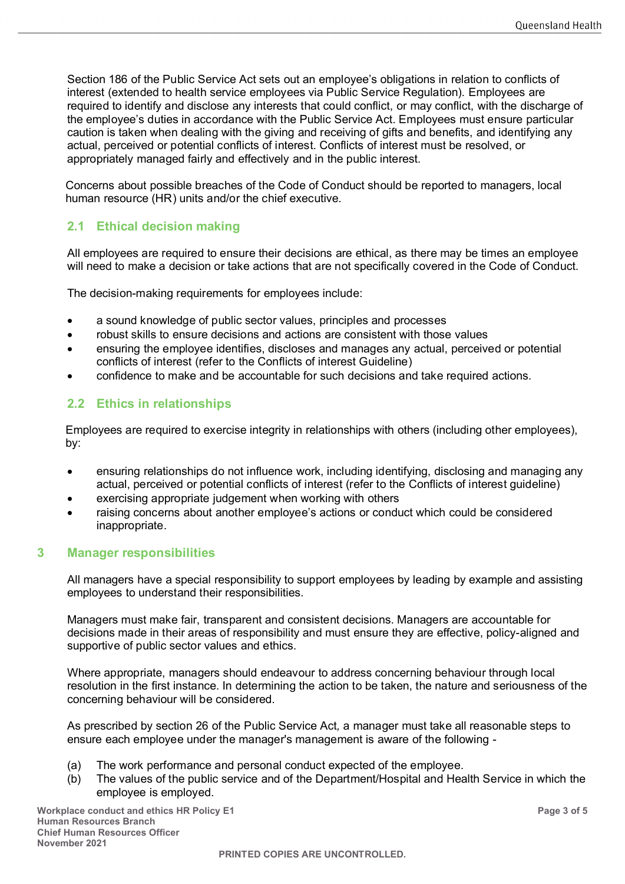Section 186 of the Public Service Act sets out an employee's obligations in relation to conflicts of interest (extended to health service employees via Public Service Regulation). Employees are required to identify and disclose any interests that could conflict, or may conflict, with the discharge of the employee's duties in accordance with the Public Service Act. Employees must ensure particular caution is taken when dealing with the giving and receiving of gifts and benefits, and identifying any actual, perceived or potential conflicts of interest. Conflicts of interest must be resolved, or appropriately managed fairly and effectively and in the public interest.

Concerns about possible breaches of the Code of Conduct should be reported to managers, local human resource (HR) units and/or the chief executive.

## <span id="page-2-0"></span>**2.1 Ethical decision making**

All employees are required to ensure their decisions are ethical, as there may be times an employee will need to make a decision or take actions that are not specifically covered in the Code of Conduct.

The decision-making requirements for employees include:

- a sound knowledge of public sector values, principles and processes
- robust skills to ensure decisions and actions are consistent with those values
- ensuring the employee identifies, discloses and manages any actual, perceived or potential conflicts of interest (refer to the Conflicts of interest Guideline)
- confidence to make and be accountable for such decisions and take required actions.

## <span id="page-2-1"></span>**2.2 Ethics in relationships**

Employees are required to exercise integrity in relationships with others (including other employees), by:

- ensuring relationships do not influence work, including identifying, disclosing and managing any actual, perceived or potential conflicts of interest (refer to the Conflicts of interest guideline)
- exercising appropriate judgement when working with others
- raising concerns about another employee's actions or conduct which could be considered inappropriate.

#### <span id="page-2-2"></span>**3 Manager responsibilities**

All managers have a special responsibility to support employees by leading by example and assisting employees to understand their responsibilities.

Managers must make fair, transparent and consistent decisions. Managers are accountable for decisions made in their areas of responsibility and must ensure they are effective, policy-aligned and supportive of public sector values and ethics.

Where appropriate, managers should endeavour to address concerning behaviour through local resolution in the first instance. In determining the action to be taken, the nature and seriousness of the concerning behaviour will be considered.

As prescribed by section 26 of the Public Service Act*,* a manager must take all reasonable steps to ensure each employee under the manager's management is aware of the following -

- (a) The work performance and personal conduct expected of the employee.
- (b) The values of the public service and of the Department/Hospital and Health Service in which the employee is employed.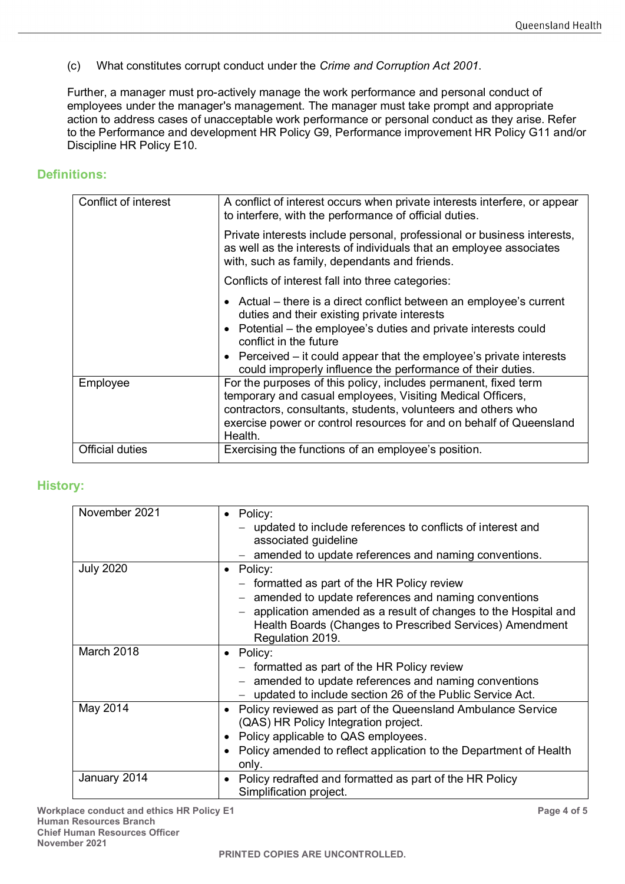(c) What constitutes corrupt conduct under the *Crime and Corruption Act 2001*.

Further, a manager must pro-actively manage the work performance and personal conduct of employees under the manager's management. The manager must take prompt and appropriate action to address cases of unacceptable work performance or personal conduct as they arise. Refer to the Performance and development HR Policy G9, Performance improvement HR Policy G11 and/or Discipline HR Policy E10.

#### <span id="page-3-0"></span>**Definitions:**

| Conflict of interest   | A conflict of interest occurs when private interests interfere, or appear<br>to interfere, with the performance of official duties.                                                                                                                                              |
|------------------------|----------------------------------------------------------------------------------------------------------------------------------------------------------------------------------------------------------------------------------------------------------------------------------|
|                        | Private interests include personal, professional or business interests,<br>as well as the interests of individuals that an employee associates<br>with, such as family, dependants and friends.                                                                                  |
|                        | Conflicts of interest fall into three categories:                                                                                                                                                                                                                                |
|                        | • Actual – there is a direct conflict between an employee's current<br>duties and their existing private interests<br>• Potential – the employee's duties and private interests could<br>conflict in the future                                                                  |
|                        | • Perceived – it could appear that the employee's private interests<br>could improperly influence the performance of their duties.                                                                                                                                               |
| Employee               | For the purposes of this policy, includes permanent, fixed term<br>temporary and casual employees, Visiting Medical Officers,<br>contractors, consultants, students, volunteers and others who<br>exercise power or control resources for and on behalf of Queensland<br>Health. |
| <b>Official duties</b> | Exercising the functions of an employee's position.                                                                                                                                                                                                                              |

#### <span id="page-3-1"></span>**History:**

| November 2021    | Policy:                                                                            |
|------------------|------------------------------------------------------------------------------------|
|                  | - updated to include references to conflicts of interest and                       |
|                  | associated guideline                                                               |
|                  | amended to update references and naming conventions.                               |
| <b>July 2020</b> | Policy:<br>$\bullet$                                                               |
|                  | - formatted as part of the HR Policy review                                        |
|                  | amended to update references and naming conventions                                |
|                  | application amended as a result of changes to the Hospital and                     |
|                  | Health Boards (Changes to Prescribed Services) Amendment                           |
|                  | Regulation 2019.                                                                   |
| March 2018       | • Policy:                                                                          |
|                  | - formatted as part of the HR Policy review                                        |
|                  | amended to update references and naming conventions                                |
|                  | updated to include section 26 of the Public Service Act.                           |
| May 2014         | Policy reviewed as part of the Queensland Ambulance Service                        |
|                  | (QAS) HR Policy Integration project.                                               |
|                  | Policy applicable to QAS employees.                                                |
|                  | Policy amended to reflect application to the Department of Health                  |
|                  | only.                                                                              |
| January 2014     | Policy redrafted and formatted as part of the HR Policy<br>Simplification project. |